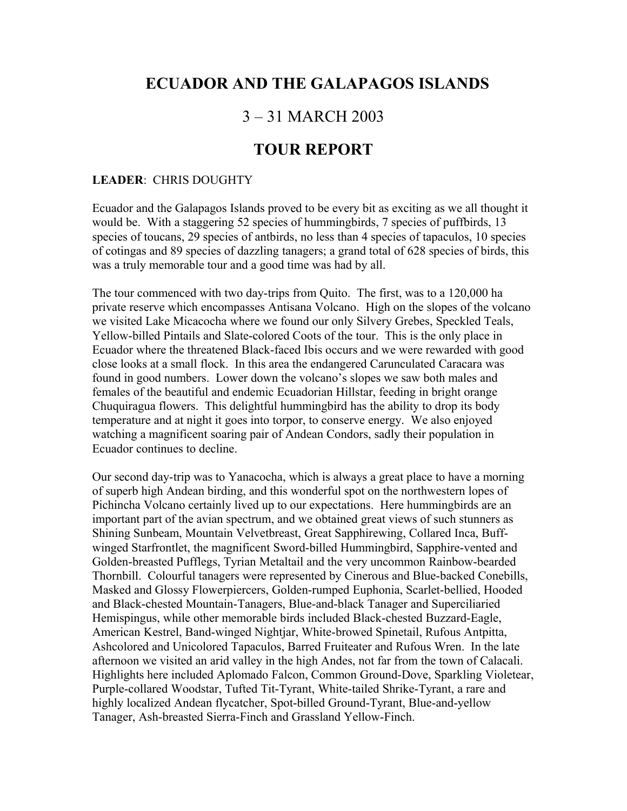## **ECUADOR AND THE GALAPAGOS ISLANDS**

## 3 – 31 MARCH 2003

## **TOUR REPORT**

## **LEADER**: CHRIS DOUGHTY

Ecuador and the Galapagos Islands proved to be every bit as exciting as we all thought it would be. With a staggering 52 species of hummingbirds, 7 species of puffbirds, 13 species of toucans, 29 species of antbirds, no less than 4 species of tapaculos, 10 species of cotingas and 89 species of dazzling tanagers; a grand total of 628 species of birds, this was a truly memorable tour and a good time was had by all.

The tour commenced with two day-trips from Quito. The first, was to a 120,000 ha private reserve which encompasses Antisana Volcano. High on the slopes of the volcano we visited Lake Micacocha where we found our only Silvery Grebes, Speckled Teals, Yellow-billed Pintails and Slate-colored Coots of the tour. This is the only place in Ecuador where the threatened Black-faced Ibis occurs and we were rewarded with good close looks at a small flock. In this area the endangered Carunculated Caracara was found in good numbers. Lower down the volcano's slopes we saw both males and females of the beautiful and endemic Ecuadorian Hillstar, feeding in bright orange Chuquiragua flowers. This delightful hummingbird has the ability to drop its body temperature and at night it goes into torpor, to conserve energy. We also enjoyed watching a magnificent soaring pair of Andean Condors, sadly their population in Ecuador continues to decline.

Our second day-trip was to Yanacocha, which is always a great place to have a morning of superb high Andean birding, and this wonderful spot on the northwestern lopes of Pichincha Volcano certainly lived up to our expectations. Here hummingbirds are an important part of the avian spectrum, and we obtained great views of such stunners as Shining Sunbeam, Mountain Velvetbreast, Great Sapphirewing, Collared Inca, Buffwinged Starfrontlet, the magnificent Sword-billed Hummingbird, Sapphire-vented and Golden-breasted Pufflegs, Tyrian Metaltail and the very uncommon Rainbow-bearded Thornbill. Colourful tanagers were represented by Cinerous and Blue-backed Conebills, Masked and Glossy Flowerpiercers, Golden-rumped Euphonia, Scarlet-bellied, Hooded and Black-chested Mountain-Tanagers, Blue-and-black Tanager and Superciliaried Hemispingus, while other memorable birds included Black-chested Buzzard-Eagle, American Kestrel, Band-winged Nightjar, White-browed Spinetail, Rufous Antpitta, Ashcolored and Unicolored Tapaculos, Barred Fruiteater and Rufous Wren. In the late afternoon we visited an arid valley in the high Andes, not far from the town of Calacali. Highlights here included Aplomado Falcon, Common Ground-Dove, Sparkling Violetear, Purple-collared Woodstar, Tufted Tit-Tyrant, White-tailed Shrike-Tyrant, a rare and highly localized Andean flycatcher, Spot-billed Ground-Tyrant, Blue-and-yellow Tanager, Ash-breasted Sierra-Finch and Grassland Yellow-Finch.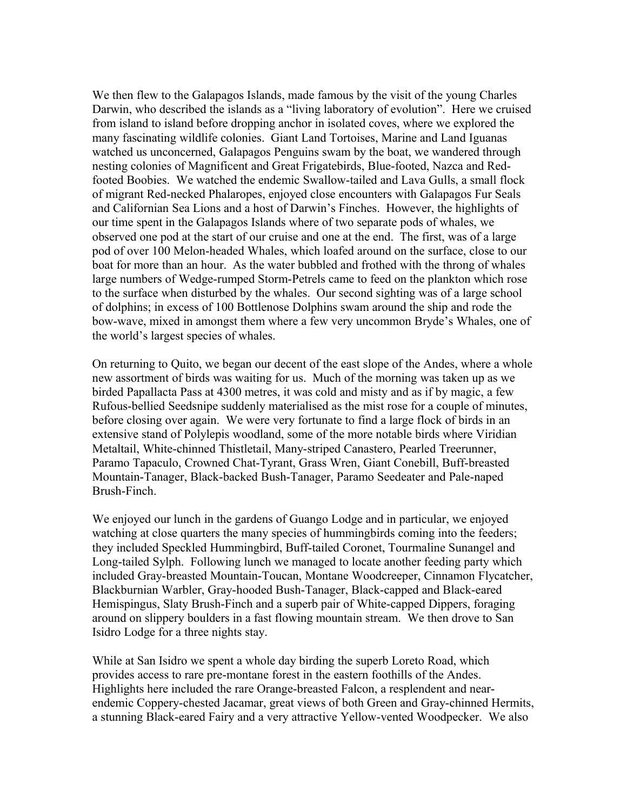We then flew to the Galapagos Islands, made famous by the visit of the young Charles Darwin, who described the islands as a "living laboratory of evolution". Here we cruised from island to island before dropping anchor in isolated coves, where we explored the many fascinating wildlife colonies. Giant Land Tortoises, Marine and Land Iguanas watched us unconcerned, Galapagos Penguins swam by the boat, we wandered through nesting colonies of Magnificent and Great Frigatebirds, Blue-footed, Nazca and Redfooted Boobies. We watched the endemic Swallow-tailed and Lava Gulls, a small flock of migrant Red-necked Phalaropes, enjoyed close encounters with Galapagos Fur Seals and Californian Sea Lions and a host of Darwin's Finches. However, the highlights of our time spent in the Galapagos Islands where of two separate pods of whales, we observed one pod at the start of our cruise and one at the end. The first, was of a large pod of over 100 Melon-headed Whales, which loafed around on the surface, close to our boat for more than an hour. As the water bubbled and frothed with the throng of whales large numbers of Wedge-rumped Storm-Petrels came to feed on the plankton which rose to the surface when disturbed by the whales. Our second sighting was of a large school of dolphins; in excess of 100 Bottlenose Dolphins swam around the ship and rode the bow-wave, mixed in amongst them where a few very uncommon Bryde's Whales, one of the world's largest species of whales.

On returning to Quito, we began our decent of the east slope of the Andes, where a whole new assortment of birds was waiting for us. Much of the morning was taken up as we birded Papallacta Pass at 4300 metres, it was cold and misty and as if by magic, a few Rufous-bellied Seedsnipe suddenly materialised as the mist rose for a couple of minutes, before closing over again. We were very fortunate to find a large flock of birds in an extensive stand of Polylepis woodland, some of the more notable birds where Viridian Metaltail, White-chinned Thistletail, Many-striped Canastero, Pearled Treerunner, Paramo Tapaculo, Crowned Chat-Tyrant, Grass Wren, Giant Conebill, Buff-breasted Mountain-Tanager, Black-backed Bush-Tanager, Paramo Seedeater and Pale-naped Brush-Finch.

We enjoyed our lunch in the gardens of Guango Lodge and in particular, we enjoyed watching at close quarters the many species of hummingbirds coming into the feeders; they included Speckled Hummingbird, Buff-tailed Coronet, Tourmaline Sunangel and Long-tailed Sylph. Following lunch we managed to locate another feeding party which included Gray-breasted Mountain-Toucan, Montane Woodcreeper, Cinnamon Flycatcher, Blackburnian Warbler, Gray-hooded Bush-Tanager, Black-capped and Black-eared Hemispingus, Slaty Brush-Finch and a superb pair of White-capped Dippers, foraging around on slippery boulders in a fast flowing mountain stream. We then drove to San Isidro Lodge for a three nights stay.

While at San Isidro we spent a whole day birding the superb Loreto Road, which provides access to rare pre-montane forest in the eastern foothills of the Andes. Highlights here included the rare Orange-breasted Falcon, a resplendent and nearendemic Coppery-chested Jacamar, great views of both Green and Gray-chinned Hermits, a stunning Black-eared Fairy and a very attractive Yellow-vented Woodpecker. We also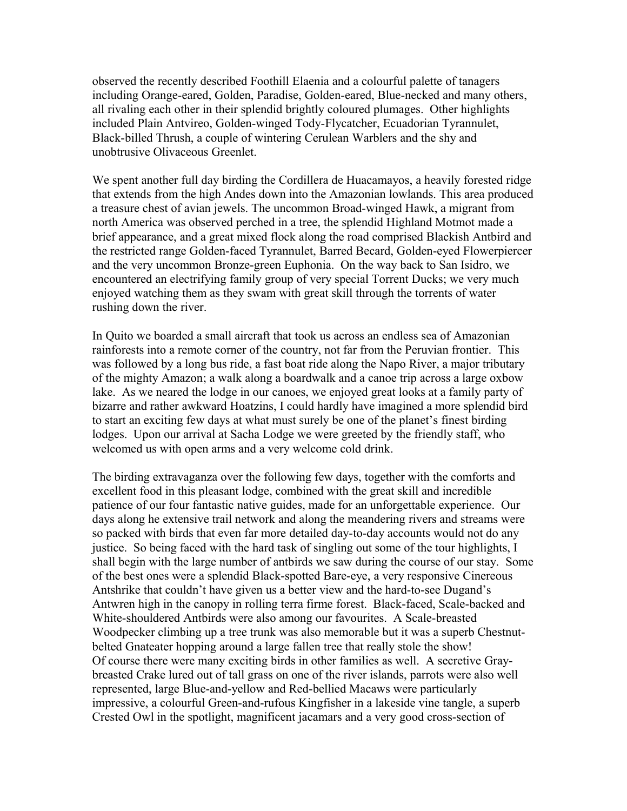observed the recently described Foothill Elaenia and a colourful palette of tanagers including Orange-eared, Golden, Paradise, Golden-eared, Blue-necked and many others, all rivaling each other in their splendid brightly coloured plumages. Other highlights included Plain Antvireo, Golden-winged Tody-Flycatcher, Ecuadorian Tyrannulet, Black-billed Thrush, a couple of wintering Cerulean Warblers and the shy and unobtrusive Olivaceous Greenlet.

We spent another full day birding the Cordillera de Huacamayos, a heavily forested ridge that extends from the high Andes down into the Amazonian lowlands. This area produced a treasure chest of avian jewels. The uncommon Broad-winged Hawk, a migrant from north America was observed perched in a tree, the splendid Highland Motmot made a brief appearance, and a great mixed flock along the road comprised Blackish Antbird and the restricted range Golden-faced Tyrannulet, Barred Becard, Golden-eyed Flowerpiercer and the very uncommon Bronze-green Euphonia. On the way back to San Isidro, we encountered an electrifying family group of very special Torrent Ducks; we very much enjoyed watching them as they swam with great skill through the torrents of water rushing down the river.

In Quito we boarded a small aircraft that took us across an endless sea of Amazonian rainforests into a remote corner of the country, not far from the Peruvian frontier. This was followed by a long bus ride, a fast boat ride along the Napo River, a major tributary of the mighty Amazon; a walk along a boardwalk and a canoe trip across a large oxbow lake. As we neared the lodge in our canoes, we enjoyed great looks at a family party of bizarre and rather awkward Hoatzins, I could hardly have imagined a more splendid bird to start an exciting few days at what must surely be one of the planet's finest birding lodges. Upon our arrival at Sacha Lodge we were greeted by the friendly staff, who welcomed us with open arms and a very welcome cold drink.

The birding extravaganza over the following few days, together with the comforts and excellent food in this pleasant lodge, combined with the great skill and incredible patience of our four fantastic native guides, made for an unforgettable experience. Our days along he extensive trail network and along the meandering rivers and streams were so packed with birds that even far more detailed day-to-day accounts would not do any justice. So being faced with the hard task of singling out some of the tour highlights, I shall begin with the large number of antbirds we saw during the course of our stay. Some of the best ones were a splendid Black-spotted Bare-eye, a very responsive Cinereous Antshrike that couldn't have given us a better view and the hard-to-see Dugand's Antwren high in the canopy in rolling terra firme forest. Black-faced, Scale-backed and White-shouldered Antbirds were also among our favourites. A Scale-breasted Woodpecker climbing up a tree trunk was also memorable but it was a superb Chestnutbelted Gnateater hopping around a large fallen tree that really stole the show! Of course there were many exciting birds in other families as well. A secretive Graybreasted Crake lured out of tall grass on one of the river islands, parrots were also well represented, large Blue-and-yellow and Red-bellied Macaws were particularly impressive, a colourful Green-and-rufous Kingfisher in a lakeside vine tangle, a superb Crested Owl in the spotlight, magnificent jacamars and a very good cross-section of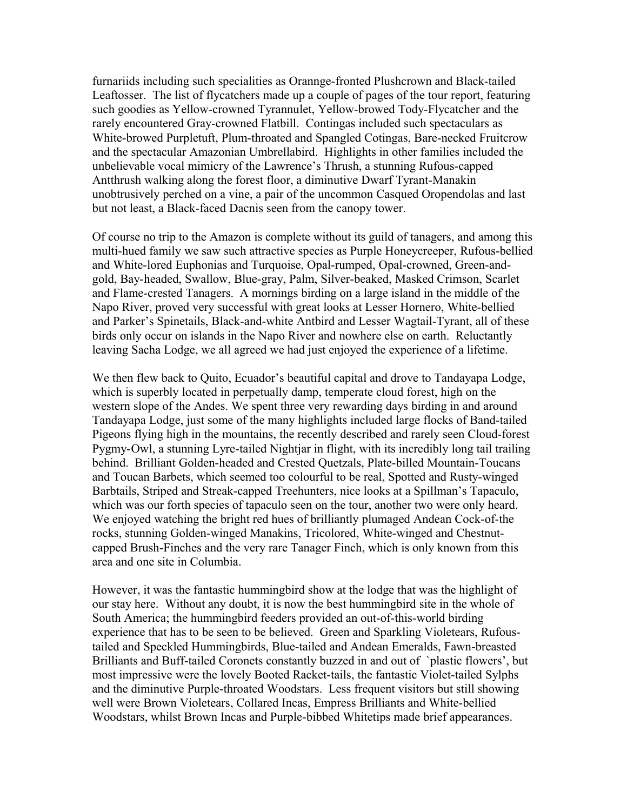furnariids including such specialities as Orannge-fronted Plushcrown and Black-tailed Leaftosser. The list of flycatchers made up a couple of pages of the tour report, featuring such goodies as Yellow-crowned Tyrannulet, Yellow-browed Tody-Flycatcher and the rarely encountered Gray-crowned Flatbill. Contingas included such spectaculars as White-browed Purpletuft, Plum-throated and Spangled Cotingas, Bare-necked Fruitcrow and the spectacular Amazonian Umbrellabird. Highlights in other families included the unbelievable vocal mimicry of the Lawrence's Thrush, a stunning Rufous-capped Antthrush walking along the forest floor, a diminutive Dwarf Tyrant-Manakin unobtrusively perched on a vine, a pair of the uncommon Casqued Oropendolas and last but not least, a Black-faced Dacnis seen from the canopy tower.

Of course no trip to the Amazon is complete without its guild of tanagers, and among this multi-hued family we saw such attractive species as Purple Honeycreeper, Rufous-bellied and White-lored Euphonias and Turquoise, Opal-rumped, Opal-crowned, Green-andgold, Bay-headed, Swallow, Blue-gray, Palm, Silver-beaked, Masked Crimson, Scarlet and Flame-crested Tanagers. A mornings birding on a large island in the middle of the Napo River, proved very successful with great looks at Lesser Hornero, White-bellied and Parker's Spinetails, Black-and-white Antbird and Lesser Wagtail-Tyrant, all of these birds only occur on islands in the Napo River and nowhere else on earth. Reluctantly leaving Sacha Lodge, we all agreed we had just enjoyed the experience of a lifetime.

We then flew back to Quito, Ecuador's beautiful capital and drove to Tandayapa Lodge, which is superbly located in perpetually damp, temperate cloud forest, high on the western slope of the Andes. We spent three very rewarding days birding in and around Tandayapa Lodge, just some of the many highlights included large flocks of Band-tailed Pigeons flying high in the mountains, the recently described and rarely seen Cloud-forest Pygmy-Owl, a stunning Lyre-tailed Nightjar in flight, with its incredibly long tail trailing behind. Brilliant Golden-headed and Crested Quetzals, Plate-billed Mountain-Toucans and Toucan Barbets, which seemed too colourful to be real, Spotted and Rusty-winged Barbtails, Striped and Streak-capped Treehunters, nice looks at a Spillman's Tapaculo, which was our forth species of tapaculo seen on the tour, another two were only heard. We enjoyed watching the bright red hues of brilliantly plumaged Andean Cock-of-the rocks, stunning Golden-winged Manakins, Tricolored, White-winged and Chestnutcapped Brush-Finches and the very rare Tanager Finch, which is only known from this area and one site in Columbia.

However, it was the fantastic hummingbird show at the lodge that was the highlight of our stay here. Without any doubt, it is now the best hummingbird site in the whole of South America; the hummingbird feeders provided an out-of-this-world birding experience that has to be seen to be believed. Green and Sparkling Violetears, Rufoustailed and Speckled Hummingbirds, Blue-tailed and Andean Emeralds, Fawn-breasted Brilliants and Buff-tailed Coronets constantly buzzed in and out of `plastic flowers', but most impressive were the lovely Booted Racket-tails, the fantastic Violet-tailed Sylphs and the diminutive Purple-throated Woodstars. Less frequent visitors but still showing well were Brown Violetears, Collared Incas, Empress Brilliants and White-bellied Woodstars, whilst Brown Incas and Purple-bibbed Whitetips made brief appearances.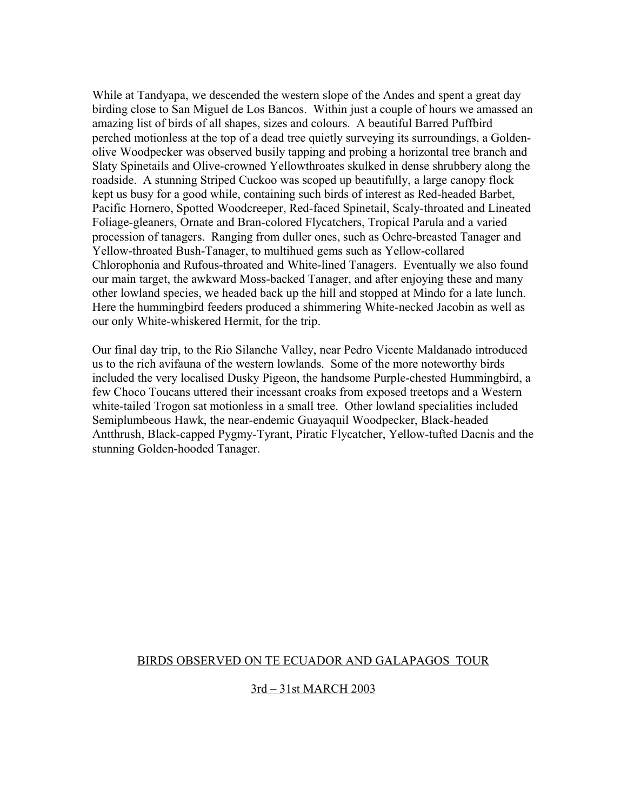While at Tandyapa, we descended the western slope of the Andes and spent a great day birding close to San Miguel de Los Bancos. Within just a couple of hours we amassed an amazing list of birds of all shapes, sizes and colours. A beautiful Barred Puffbird perched motionless at the top of a dead tree quietly surveying its surroundings, a Goldenolive Woodpecker was observed busily tapping and probing a horizontal tree branch and Slaty Spinetails and Olive-crowned Yellowthroates skulked in dense shrubbery along the roadside. A stunning Striped Cuckoo was scoped up beautifully, a large canopy flock kept us busy for a good while, containing such birds of interest as Red-headed Barbet, Pacific Hornero, Spotted Woodcreeper, Red-faced Spinetail, Scaly-throated and Lineated Foliage-gleaners, Ornate and Bran-colored Flycatchers, Tropical Parula and a varied procession of tanagers. Ranging from duller ones, such as Ochre-breasted Tanager and Yellow-throated Bush-Tanager, to multihued gems such as Yellow-collared Chlorophonia and Rufous-throated and White-lined Tanagers. Eventually we also found our main target, the awkward Moss-backed Tanager, and after enjoying these and many other lowland species, we headed back up the hill and stopped at Mindo for a late lunch. Here the hummingbird feeders produced a shimmering White-necked Jacobin as well as our only White-whiskered Hermit, for the trip.

Our final day trip, to the Rio Silanche Valley, near Pedro Vicente Maldanado introduced us to the rich avifauna of the western lowlands. Some of the more noteworthy birds included the very localised Dusky Pigeon, the handsome Purple-chested Hummingbird, a few Choco Toucans uttered their incessant croaks from exposed treetops and a Western white-tailed Trogon sat motionless in a small tree. Other lowland specialities included Semiplumbeous Hawk, the near-endemic Guayaquil Woodpecker, Black-headed Antthrush, Black-capped Pygmy-Tyrant, Piratic Flycatcher, Yellow-tufted Dacnis and the stunning Golden-hooded Tanager.

## BIRDS OBSERVED ON TE ECUADOR AND GALAPAGOS TOUR

## 3rd – 31st MARCH 2003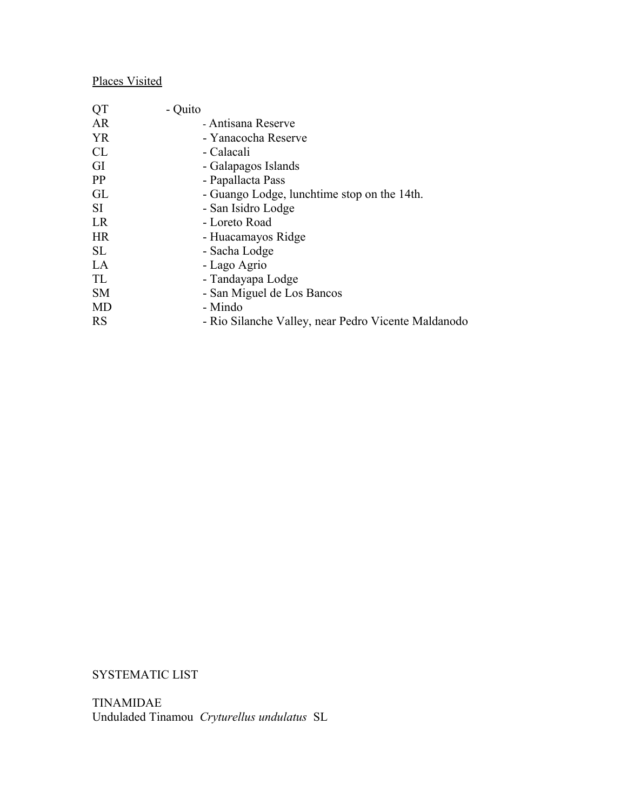## Places Visited

| QT        | - Quito                                             |
|-----------|-----------------------------------------------------|
| AR        | - Antisana Reserve                                  |
| <b>YR</b> | - Yanacocha Reserve                                 |
| CL        | - Calacali                                          |
| GI        | - Galapagos Islands                                 |
| PP        | - Papallacta Pass                                   |
| GL        | - Guango Lodge, lunchtime stop on the 14th.         |
| SI.       | - San Isidro Lodge                                  |
| LR        | - Loreto Road                                       |
| <b>HR</b> | - Huacamayos Ridge                                  |
| <b>SL</b> | - Sacha Lodge                                       |
| LA        | - Lago Agrio                                        |
| TL        | - Tandayapa Lodge                                   |
| <b>SM</b> | - San Miguel de Los Bancos                          |
| <b>MD</b> | - Mindo                                             |
| <b>RS</b> | - Rio Silanche Valley, near Pedro Vicente Maldanodo |
|           |                                                     |

SYSTEMATIC LIST

TINAMIDAE Unduladed Tinamou *Cryturellus undulatus* SL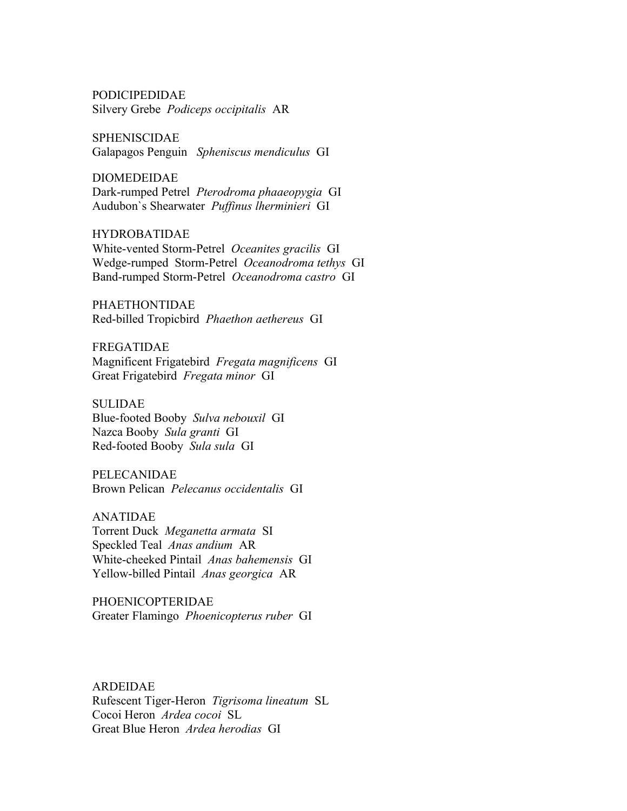PODICIPEDIDAE Silvery Grebe *Podiceps occipitalis* AR

SPHENISCIDAE Galapagos Penguin *Spheniscus mendiculus* GI

DIOMEDEIDAE Dark-rumped Petrel *Pterodroma phaaeopygia* GI Audubon`s Shearwater *Puffinus lherminieri* GI

HYDROBATIDAE White-vented Storm-Petrel *Oceanites gracilis* GI Wedge-rumped Storm-Petrel *Oceanodroma tethys* GI Band-rumped Storm-Petrel *Oceanodroma castro* GI

PHAETHONTIDAE Red-billed Tropicbird *Phaethon aethereus* GI

FREGATIDAE Magnificent Frigatebird *Fregata magnificens* GI Great Frigatebird *Fregata minor* GI

SULIDAE Blue-footed Booby *Sulva nebouxil* GI Nazca Booby *Sula granti* GI Red-footed Booby *Sula sula* GI

PELECANIDAE Brown Pelican *Pelecanus occidentalis* GI

ANATIDAE Torrent Duck *Meganetta armata* SI Speckled Teal *Anas andium* AR White-cheeked Pintail *Anas bahemensis* GI Yellow-billed Pintail *Anas georgica* AR

PHOENICOPTERIDAE Greater Flamingo *Phoenicopterus ruber* GI

ARDEIDAE Rufescent Tiger-Heron *Tigrisoma lineatum* SL Cocoi Heron *Ardea cocoi* SL Great Blue Heron *Ardea herodias* GI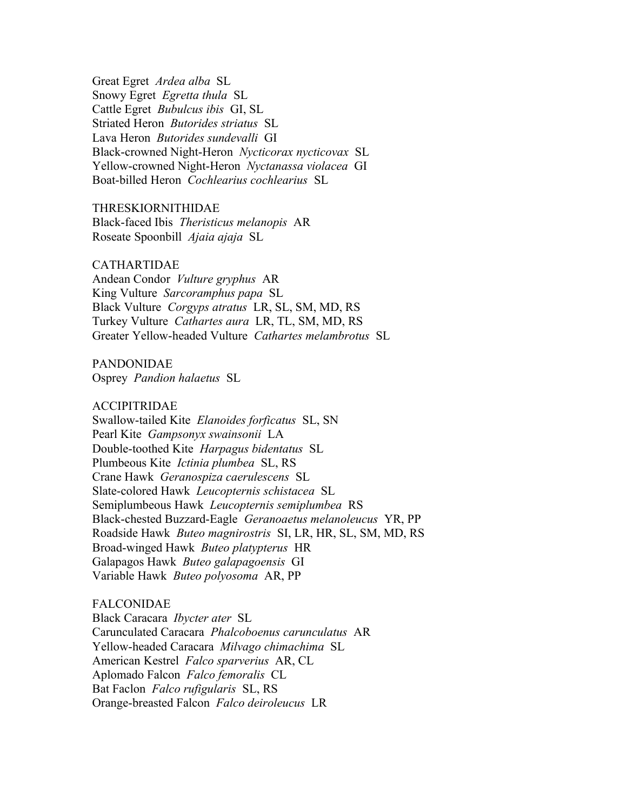Great Egret *Ardea alba* SL Snowy Egret *Egretta thula* SL Cattle Egret *Bubulcus ibis* GI, SL Striated Heron *Butorides striatus* SL Lava Heron *Butorides sundevalli* GI Black-crowned Night-Heron *Nycticorax nycticovax* SL Yellow-crowned Night-Heron *Nyctanassa violacea* GI Boat-billed Heron *Cochlearius cochlearius* SL

THRESKIORNITHIDAE Black-faced Ibis *Theristicus melanopis* AR Roseate Spoonbill *Ajaia ajaja* SL

## CATHARTIDAE

Andean Condor *Vulture gryphus* AR King Vulture *Sarcoramphus papa* SL Black Vulture *Corgyps atratus* LR, SL, SM, MD, RS Turkey Vulture *Cathartes aura* LR, TL, SM, MD, RS Greater Yellow-headed Vulture *Cathartes melambrotus* SL

PANDONIDAE Osprey *Pandion halaetus* SL

ACCIPITRIDAE

Swallow-tailed Kite *Elanoides forficatus* SL, SN Pearl Kite *Gampsonyx swainsonii* LA Double-toothed Kite *Harpagus bidentatus* SL Plumbeous Kite *Ictinia plumbea* SL, RS Crane Hawk *Geranospiza caerulescens* SL Slate-colored Hawk *Leucopternis schistacea* SL Semiplumbeous Hawk *Leucopternis semiplumbea* RS Black-chested Buzzard-Eagle *Geranoaetus melanoleucus* YR, PP Roadside Hawk *Buteo magnirostris* SI, LR, HR, SL, SM, MD, RS Broad-winged Hawk *Buteo platypterus* HR Galapagos Hawk *Buteo galapagoensis* GI Variable Hawk *Buteo polyosoma* AR, PP

## FALCONIDAE

Black Caracara *Ibycter ater* SL Carunculated Caracara *Phalcoboenus carunculatus* AR Yellow-headed Caracara *Milvago chimachima* SL American Kestrel *Falco sparverius* AR, CL Aplomado Falcon *Falco femoralis* CL Bat Faclon *Falco rufigularis* SL, RS Orange-breasted Falcon *Falco deiroleucus* LR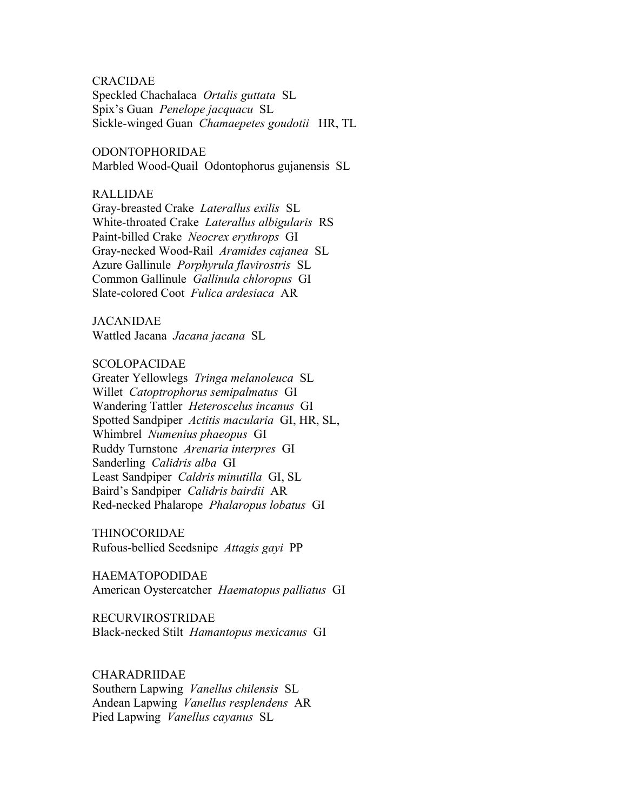CRACIDAE

Speckled Chachalaca *Ortalis guttata* SL Spix's Guan *Penelope jacquacu* SL Sickle-winged Guan *Chamaepetes goudotii* HR, TL

ODONTOPHORIDAE Marbled Wood-Quail Odontophorus gujanensis SL

#### RALLIDAE

Gray-breasted Crake *Laterallus exilis* SL White-throated Crake *Laterallus albigularis* RS Paint-billed Crake *Neocrex erythrops* GI Gray-necked Wood-Rail *Aramides cajanea* SL Azure Gallinule *Porphyrula flavirostris* SL Common Gallinule *Gallinula chloropus* GI Slate-colored Coot *Fulica ardesiaca* AR

## JACANIDAE

Wattled Jacana *Jacana jacana* SL

## SCOLOPACIDAE

Greater Yellowlegs *Tringa melanoleuca* SL Willet *Catoptrophorus semipalmatus* GI Wandering Tattler *Heteroscelus incanus* GI Spotted Sandpiper *Actitis macularia* GI, HR, SL, Whimbrel *Numenius phaeopus* GI Ruddy Turnstone *Arenaria interpres* GI Sanderling *Calidris alba* GI Least Sandpiper *Caldris minutilla* GI, SL Baird's Sandpiper *Calidris bairdii* AR Red-necked Phalarope *Phalaropus lobatus* GI

THINOCORIDAE Rufous-bellied Seedsnipe *Attagis gayi* PP

HAEMATOPODIDAE American Oystercatcher *Haematopus palliatus* GI

RECURVIROSTRIDAE Black-necked Stilt *Hamantopus mexicanus* GI

## CHARADRIIDAE

Southern Lapwing *Vanellus chilensis* SL Andean Lapwing *Vanellus resplendens* AR Pied Lapwing *Vanellus cayanus* SL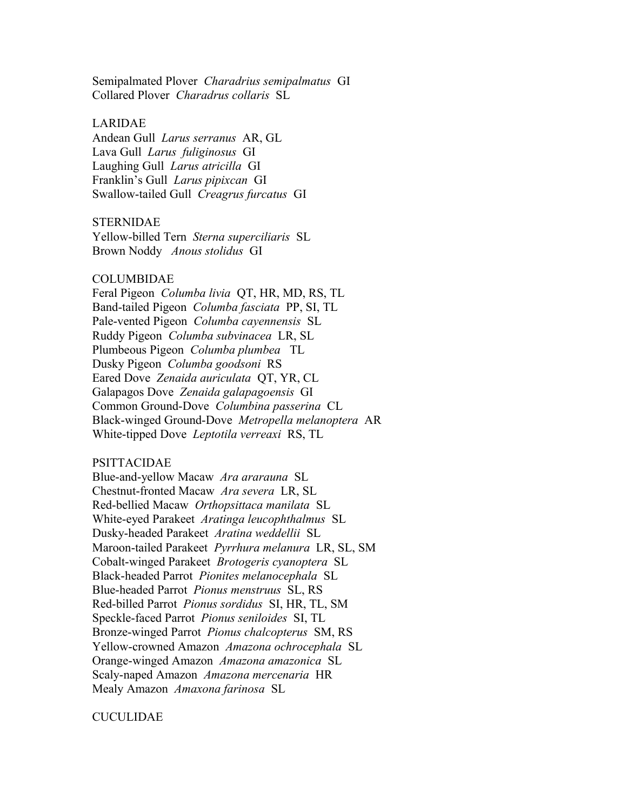Semipalmated Plover *Charadrius semipalmatus* GI Collared Plover *Charadrus collaris* SL

## LARIDAE

Andean Gull *Larus serranus* AR, GL Lava Gull *Larus fuliginosus* GI Laughing Gull *Larus atricilla* GI Franklin's Gull *Larus pipixcan* GI Swallow-tailed Gull *Creagrus furcatus* GI

#### STERNIDAE

Yellow-billed Tern *Sterna superciliaris* SL Brown Noddy *Anous stolidus* GI

#### COLUMBIDAE

Feral Pigeon *Columba livia* QT, HR, MD, RS, TL Band-tailed Pigeon *Columba fasciata* PP, SI, TL Pale-vented Pigeon *Columba cayennensis* SL Ruddy Pigeon *Columba subvinacea* LR, SL Plumbeous Pigeon *Columba plumbea* TL Dusky Pigeon *Columba goodsoni* RS Eared Dove *Zenaida auriculata* QT, YR, CL Galapagos Dove *Zenaida galapagoensis* GI Common Ground-Dove *Columbina passerina* CL Black-winged Ground-Dove *Metropella melanoptera* AR White-tipped Dove *Leptotila verreaxi* RS, TL

#### PSITTACIDAE

Blue-and-yellow Macaw *Ara ararauna* SL Chestnut-fronted Macaw *Ara severa* LR, SL Red-bellied Macaw *Orthopsittaca manilata* SL White-eyed Parakeet *Aratinga leucophthalmus* SL Dusky-headed Parakeet *Aratina weddellii* SL Maroon-tailed Parakeet *Pyrrhura melanura* LR, SL, SM Cobalt-winged Parakeet *Brotogeris cyanoptera* SL Black-headed Parrot *Pionites melanocephala* SL Blue-headed Parrot *Pionus menstruus* SL, RS Red-billed Parrot *Pionus sordidus* SI, HR, TL, SM Speckle-faced Parrot *Pionus seniloides* SI, TL Bronze-winged Parrot *Pionus chalcopterus* SM, RS Yellow-crowned Amazon *Amazona ochrocephala* SL Orange-winged Amazon *Amazona amazonica* SL Scaly-naped Amazon *Amazona mercenaria* HR Mealy Amazon *Amaxona farinosa* SL

CUCULIDAE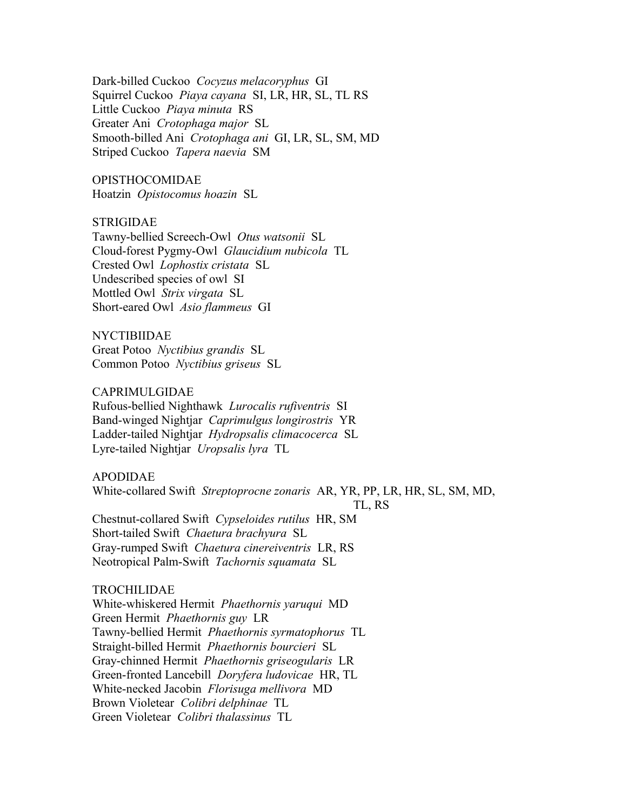Dark-billed Cuckoo *Cocyzus melacoryphus* GI Squirrel Cuckoo *Piaya cayana* SI, LR, HR, SL, TL RS Little Cuckoo *Piaya minuta* RS Greater Ani *Crotophaga major* SL Smooth-billed Ani *Crotophaga ani* GI, LR, SL, SM, MD Striped Cuckoo *Tapera naevia* SM

OPISTHOCOMIDAE Hoatzin *Opistocomus hoazin* SL

STRIGIDAE

Tawny-bellied Screech-Owl *Otus watsonii* SL Cloud-forest Pygmy-Owl *Glaucidium nubicola* TL Crested Owl *Lophostix cristata* SL Undescribed species of owl SI Mottled Owl *Strix virgata* SL Short-eared Owl *Asio flammeus* GI

NYCTIBIIDAE Great Potoo *Nyctibius grandis* SL Common Potoo *Nyctibius griseus* SL

CAPRIMULGIDAE Rufous-bellied Nighthawk *Lurocalis rufiventris* SI Band-winged Nightjar *Caprimulgus longirostris* YR Ladder-tailed Nightjar *Hydropsalis climacocerca* SL Lyre-tailed Nightjar *Uropsalis lyra* TL

APODIDAE White-collared Swift *Streptoprocne zonaris* AR, YR, PP, LR, HR, SL, SM, MD, TL, RS Chestnut-collared Swift *Cypseloides rutilus* HR, SM Short-tailed Swift *Chaetura brachyura* SL Gray-rumped Swift *Chaetura cinereiventris* LR, RS Neotropical Palm-Swift *Tachornis squamata* SL

#### TROCHILIDAE

White-whiskered Hermit *Phaethornis yaruqui* MD Green Hermit *Phaethornis guy* LR Tawny-bellied Hermit *Phaethornis syrmatophorus* TL Straight-billed Hermit *Phaethornis bourcieri* SL Gray-chinned Hermit *Phaethornis griseogularis* LR Green-fronted Lancebill *Doryfera ludovicae* HR, TL White-necked Jacobin *Florisuga mellivora* MD Brown Violetear *Colibri delphinae* TL Green Violetear *Colibri thalassinus* TL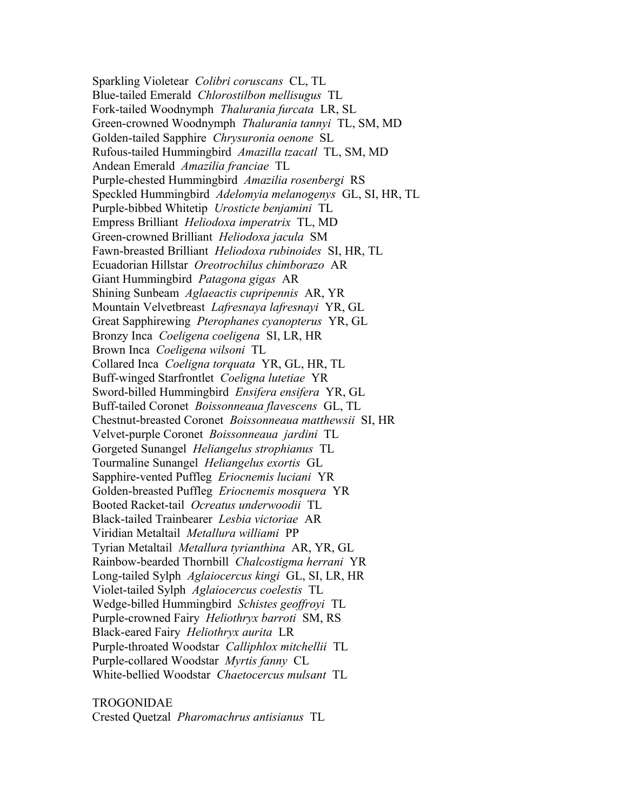Sparkling Violetear *Colibri coruscans* CL, TL Blue-tailed Emerald *Chlorostilbon mellisugus* TL Fork-tailed Woodnymph *Thalurania furcata* LR, SL Green-crowned Woodnymph *Thalurania tannyi* TL, SM, MD Golden-tailed Sapphire *Chrysuronia oenone* SL Rufous-tailed Hummingbird *Amazilla tzacatl* TL, SM, MD Andean Emerald *Amazilia franciae* TL Purple-chested Hummingbird *Amazilia rosenbergi* RS Speckled Hummingbird *Adelomyia melanogenys* GL, SI, HR, TL Purple-bibbed Whitetip *Urosticte benjamini* TL Empress Brilliant *Heliodoxa imperatrix* TL, MD Green-crowned Brilliant *Heliodoxa jacula* SM Fawn-breasted Brilliant *Heliodoxa rubinoides* SI, HR, TL Ecuadorian Hillstar *Oreotrochilus chimborazo* AR Giant Hummingbird *Patagona gigas* AR Shining Sunbeam *Aglaeactis cupripennis* AR, YR Mountain Velvetbreast *Lafresnaya lafresnayi* YR, GL Great Sapphirewing *Pterophanes cyanopterus* YR, GL Bronzy Inca *Coeligena coeligena* SI, LR, HR Brown Inca *Coeligena wilsoni* TL Collared Inca *Coeligna torquata* YR, GL, HR, TL Buff-winged Starfrontlet *Coeligna lutetiae* YR Sword-billed Hummingbird *Ensifera ensifera* YR, GL Buff-tailed Coronet *Boissonneaua flavescens* GL, TL Chestnut-breasted Coronet *Boissonneaua matthewsii* SI, HR Velvet-purple Coronet *Boissonneaua jardini* TL Gorgeted Sunangel *Heliangelus strophianus* TL Tourmaline Sunangel *Heliangelus exortis* GL Sapphire-vented Puffleg *Eriocnemis luciani* YR Golden-breasted Puffleg *Eriocnemis mosquera* YR Booted Racket-tail *Ocreatus underwoodii* TL Black-tailed Trainbearer *Lesbia victoriae* AR Viridian Metaltail *Metallura williami* PP Tyrian Metaltail *Metallura tyrianthina* AR, YR, GL Rainbow-bearded Thornbill *Chalcostigma herrani* YR Long-tailed Sylph *Aglaiocercus kingi* GL, SI, LR, HR Violet-tailed Sylph *Aglaiocercus coelestis* TL Wedge-billed Hummingbird *Schistes geoffroyi* TL Purple-crowned Fairy *Heliothryx barroti* SM, RS Black-eared Fairy *Heliothryx aurita* LR Purple-throated Woodstar *Calliphlox mitchellii* TL Purple-collared Woodstar *Myrtis fanny* CL White-bellied Woodstar *Chaetocercus mulsant* TL

TROGONIDAE Crested Quetzal *Pharomachrus antisianus* TL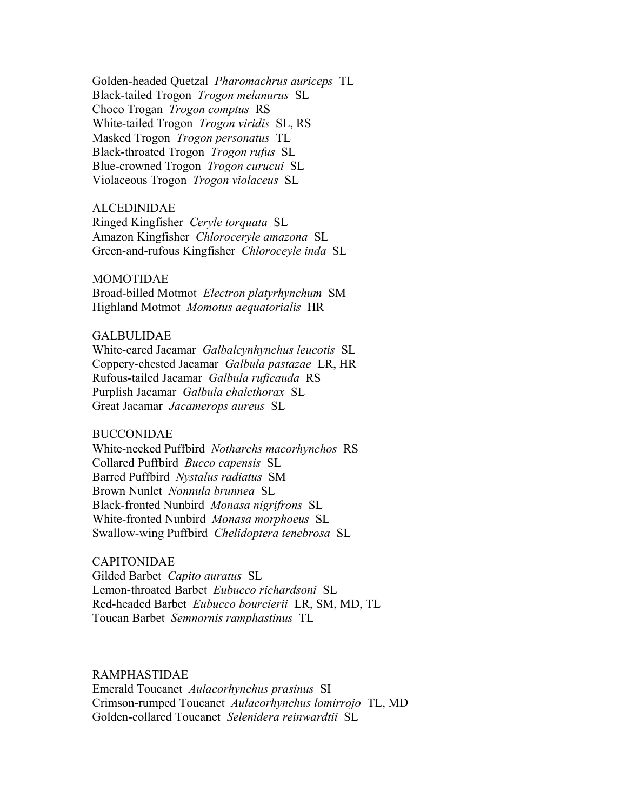Golden-headed Quetzal *Pharomachrus auriceps* TL Black-tailed Trogon *Trogon melanurus* SL Choco Trogan *Trogon comptus* RS White-tailed Trogon *Trogon viridis* SL, RS Masked Trogon *Trogon personatus* TL Black-throated Trogon *Trogon rufus* SL Blue-crowned Trogon *Trogon curucui* SL Violaceous Trogon *Trogon violaceus* SL

#### ALCEDINIDAE

Ringed Kingfisher *Ceryle torquata* SL Amazon Kingfisher *Chloroceryle amazona* SL Green-and-rufous Kingfisher *Chloroceyle inda* SL

### MOMOTIDAE

Broad-billed Motmot *Electron platyrhynchum* SM Highland Motmot *Momotus aequatorialis* HR

## GALBULIDAE

White-eared Jacamar *Galbalcynhynchus leucotis* SL Coppery-chested Jacamar *Galbula pastazae* LR, HR Rufous-tailed Jacamar *Galbula ruficauda* RS Purplish Jacamar *Galbula chalcthorax* SL Great Jacamar *Jacamerops aureus* SL

## BUCCONIDAE

White-necked Puffbird *Notharchs macorhynchos* RS Collared Puffbird *Bucco capensis* SL Barred Puffbird *Nystalus radiatus* SM Brown Nunlet *Nonnula brunnea* SL Black-fronted Nunbird *Monasa nigrifrons* SL White-fronted Nunbird *Monasa morphoeus* SL Swallow-wing Puffbird *Chelidoptera tenebrosa* SL

#### CAPITONIDAE

Gilded Barbet *Capito auratus* SL Lemon-throated Barbet *Eubucco richardsoni* SL Red-headed Barbet *Eubucco bourcierii* LR, SM, MD, TL Toucan Barbet *Semnornis ramphastinus* TL

RAMPHASTIDAE

Emerald Toucanet *Aulacorhynchus prasinus* SI Crimson-rumped Toucanet *Aulacorhynchus lomirrojo* TL, MD Golden-collared Toucanet *Selenidera reinwardtii* SL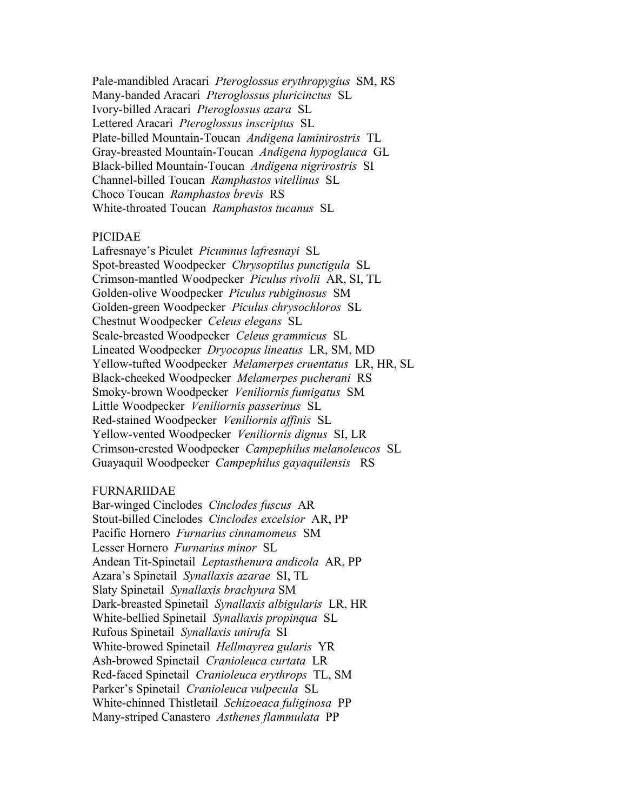Pale-mandibled Aracari *Pteroglossus erythropygius* SM, RS Many-banded Aracari *Pteroglossus pluricinctus* SL Ivory-billed Aracari *Pteroglossus azara* SL Lettered Aracari *Pteroglossus inscriptus* SL Plate-billed Mountain-Toucan *Andigena laminirostris* TL Gray-breasted Mountain-Toucan *Andigena hypoglauca* GL Black-billed Mountain-Toucan *Andigena nigrirostris* SI Channel-billed Toucan *Ramphastos vitellinus* SL Choco Toucan *Ramphastos brevis* RS White-throated Toucan *Ramphastos tucanus* SL

## PICIDAE

Lafresnaye's Piculet *Picumnus lafresnayi* SL Spot-breasted Woodpecker *Chrysoptilus punctigula* SL Crimson-mantled Woodpecker *Piculus rivolii* AR, SI, TL Golden-olive Woodpecker *Piculus rubiginosus* SM Golden-green Woodpecker *Piculus chrysochloros* SL Chestnut Woodpecker *Celeus elegans* SL Scale-breasted Woodpecker *Celeus grammicus* SL Lineated Woodpecker *Dryocopus lineatus* LR, SM, MD Yellow-tufted Woodpecker *Melamerpes cruentatus* LR, HR, SL Black-cheeked Woodpecker *Melamerpes pucherani* RS Smoky-brown Woodpecker *Veniliornis fumigatus* SM Little Woodpecker *Veniliornis passerinus* SL Red-stained Woodpecker *Veniliornis affinis* SL Yellow-vented Woodpecker *Veniliornis dignus* SI, LR Crimson-crested Woodpecker *Campephilus melanoleucos* SL Guayaquil Woodpecker *Campephilus gayaquilensis* RS

## FURNARIIDAE

Bar-winged Cinclodes *Cinclodes fuscus* AR Stout-billed Cinclodes *Cinclodes excelsior* AR, PP Pacific Hornero *Furnarius cinnamomeus* SM Lesser Hornero *Furnarius minor* SL Andean Tit-Spinetail *Leptasthenura andicola* AR, PP Azara's Spinetail *Synallaxis azarae* SI, TL Slaty Spinetail *Synallaxis brachyura* SM Dark-breasted Spinetail *Synallaxis albigularis* LR, HR White-bellied Spinetail *Synallaxis propinqua* SL Rufous Spinetail *Synallaxis unirufa* SI White-browed Spinetail *Hellmayrea gularis* YR Ash-browed Spinetail *Cranioleuca curtata* LR Red-faced Spinetail *Cranioleuca erythrops* TL, SM Parker's Spinetail *Cranioleuca vulpecula* SL White-chinned Thistletail *Schizoeaca fuliginosa* PP Many-striped Canastero *Asthenes flammulata* PP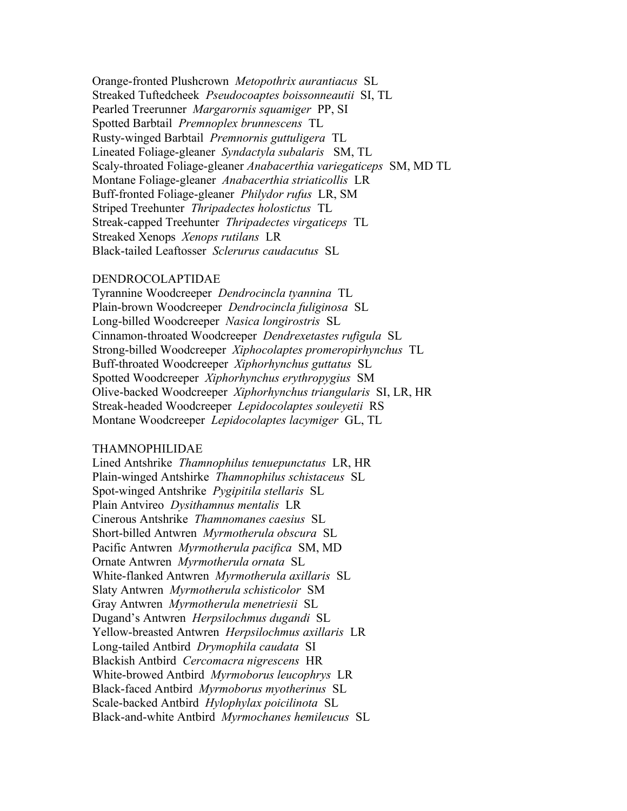Orange-fronted Plushcrown *Metopothrix aurantiacus* SL Streaked Tuftedcheek *Pseudocoaptes boissonneautii* SI, TL Pearled Treerunner *Margarornis squamiger* PP, SI Spotted Barbtail *Premnoplex brunnescens* TL Rusty-winged Barbtail *Premnornis guttuligera* TL Lineated Foliage-gleaner *Syndactyla subalaris* SM, TL Scaly-throated Foliage-gleaner *Anabacerthia variegaticeps* SM, MD TL Montane Foliage-gleaner *Anabacerthia striaticollis* LR Buff-fronted Foliage-gleaner *Philydor rufus* LR, SM Striped Treehunter *Thripadectes holostictus* TL Streak-capped Treehunter *Thripadectes virgaticeps* TL Streaked Xenops *Xenops rutilans* LR Black-tailed Leaftosser *Sclerurus caudacutus* SL

#### DENDROCOLAPTIDAE

Tyrannine Woodcreeper *Dendrocincla tyannina* TL Plain-brown Woodcreeper *Dendrocincla fuliginosa* SL Long-billed Woodcreeper *Nasica longirostris* SL Cinnamon-throated Woodcreeper *Dendrexetastes rufigula* SL Strong-billed Woodcreeper *Xiphocolaptes promeropirhynchus* TL Buff-throated Woodcreeper *Xiphorhynchus guttatus* SL Spotted Woodcreeper *Xiphorhynchus erythropygius* SM Olive-backed Woodcreeper *Xiphorhynchus triangularis* SI, LR, HR Streak-headed Woodcreeper *Lepidocolaptes souleyetii* RS Montane Woodcreeper *Lepidocolaptes lacymiger* GL, TL

#### THAMNOPHILIDAE

Lined Antshrike *Thamnophilus tenuepunctatus* LR, HR Plain-winged Antshirke *Thamnophilus schistaceus* SL Spot-winged Antshrike *Pygipitila stellaris* SL Plain Antvireo *Dysithamnus mentalis* LR Cinerous Antshrike *Thamnomanes caesius* SL Short-billed Antwren *Myrmotherula obscura* SL Pacific Antwren *Myrmotherula pacifica* SM, MD Ornate Antwren *Myrmotherula ornata* SL White-flanked Antwren *Myrmotherula axillaris* SL Slaty Antwren *Myrmotherula schisticolor* SM Gray Antwren *Myrmotherula menetriesii* SL Dugand's Antwren *Herpsilochmus dugandi* SL Yellow-breasted Antwren *Herpsilochmus axillaris* LR Long-tailed Antbird *Drymophila caudata* SI Blackish Antbird *Cercomacra nigrescens* HR White-browed Antbird *Myrmoborus leucophrys* LR Black-faced Antbird *Myrmoborus myotherinus* SL Scale-backed Antbird *Hylophylax poicilinota* SL Black-and-white Antbird *Myrmochanes hemileucus* SL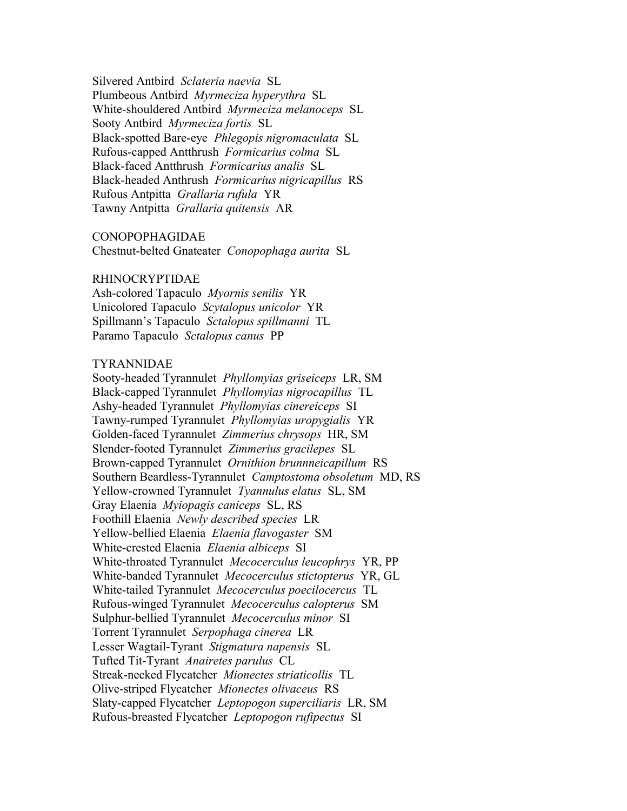Silvered Antbird *Sclateria naevia* SL Plumbeous Antbird *Myrmeciza hyperythra* SL White-shouldered Antbird *Myrmeciza melanoceps* SL Sooty Antbird *Myrmeciza fortis* SL Black-spotted Bare-eye *Phlegopis nigromaculata* SL Rufous-capped Antthrush *Formicarius colma* SL Black-faced Antthrush *Formicarius analis* SL Black-headed Anthrush *Formicarius nigricapillus* RS Rufous Antpitta *Grallaria rufula* YR Tawny Antpitta *Grallaria quitensis* AR

## CONOPOPHAGIDAE

Chestnut-belted Gnateater *Conopophaga aurita* SL

#### RHINOCRYPTIDAE

Ash-colored Tapaculo *Myornis senilis* YR Unicolored Tapaculo *Scytalopus unicolor* YR Spillmann's Tapaculo *Sctalopus spillmanni* TL Paramo Tapaculo *Sctalopus canus* PP

#### TYRANNIDAE

Sooty-headed Tyrannulet *Phyllomyias griseiceps* LR, SM Black-capped Tyrannulet *Phyllomyias nigrocapillus* TL Ashy-headed Tyrannulet *Phyllomyias cinereiceps* SI Tawny-rumped Tyrannulet *Phyllomyias uropygialis* YR Golden-faced Tyrannulet *Zimmerius chrysops* HR, SM Slender-footed Tyrannulet *Zimmerius gracilepes* SL Brown-capped Tyrannulet *Ornithion brunnneicapillum* RS Southern Beardless-Tyrannulet *Camptostoma obsoletum* MD, RS Yellow-crowned Tyrannulet *Tyannulus elatus* SL, SM Gray Elaenia *Myiopagis caniceps* SL, RS Foothill Elaenia *Newly described species* LR Yellow-bellied Elaenia *Elaenia flavogaster* SM White-crested Elaenia *Elaenia albiceps* SI White-throated Tyrannulet *Mecocerculus leucophrys* YR, PP White-banded Tyrannulet *Mecocerculus stictopterus* YR, GL White-tailed Tyrannulet *Mecocerculus poecilocercus* TL Rufous-winged Tyrannulet *Mecocerculus calopterus* SM Sulphur-bellied Tyrannulet *Mecocerculus minor* SI Torrent Tyrannulet *Serpophaga cinerea* LR Lesser Wagtail-Tyrant *Stigmatura napensis* SL Tufted Tit-Tyrant *Anairetes parulus* CL Streak-necked Flycatcher *Mionectes striaticollis* TL Olive-striped Flycatcher *Mionectes olivaceus* RS Slaty-capped Flycatcher *Leptopogon superciliaris* LR, SM Rufous-breasted Flycatcher *Leptopogon rufipectus* SI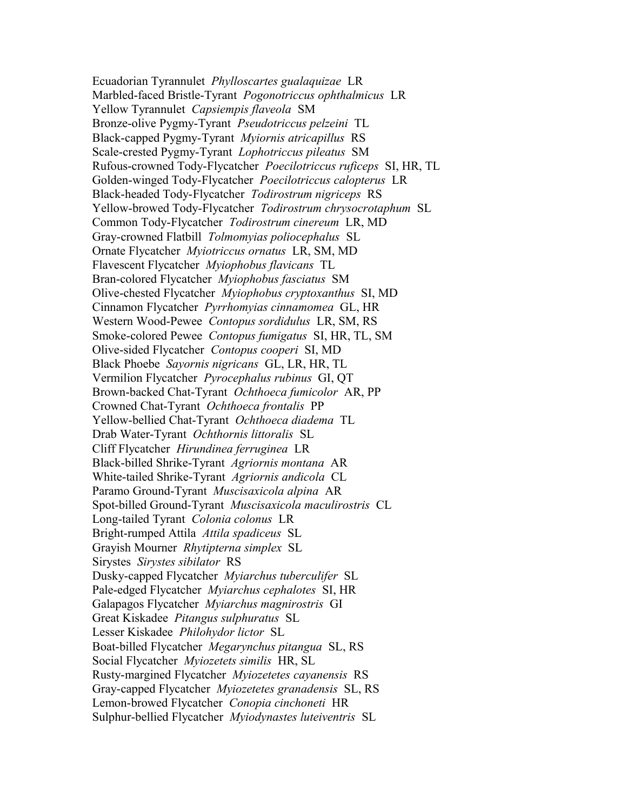Ecuadorian Tyrannulet *Phylloscartes gualaquizae* LR Marbled-faced Bristle-Tyrant *Pogonotriccus ophthalmicus* LR Yellow Tyrannulet *Capsiempis flaveola* SM Bronze-olive Pygmy-Tyrant *Pseudotriccus pelzeini* TL Black-capped Pygmy-Tyrant *Myiornis atricapillus* RS Scale-crested Pygmy-Tyrant *Lophotriccus pileatus* SM Rufous-crowned Tody-Flycatcher *Poecilotriccus ruficeps* SI, HR, TL Golden-winged Tody-Flycatcher *Poecilotriccus calopterus* LR Black-headed Tody-Flycatcher *Todirostrum nigriceps* RS Yellow-browed Tody-Flycatcher *Todirostrum chrysocrotaphum* SL Common Tody-Flycatcher *Todirostrum cinereum* LR, MD Gray-crowned Flatbill *Tolmomyias poliocephalus* SL Ornate Flycatcher *Myiotriccus ornatus* LR, SM, MD Flavescent Flycatcher *Myiophobus flavicans* TL Bran-colored Flycatcher *Myiophobus fasciatus* SM Olive-chested Flycatcher *Myiophobus cryptoxanthus* SI, MD Cinnamon Flycatcher *Pyrrhomyias cinnamomea* GL, HR Western Wood-Pewee *Contopus sordidulus* LR, SM, RS Smoke-colored Pewee *Contopus fumigatus* SI, HR, TL, SM Olive-sided Flycatcher *Contopus cooperi* SI, MD Black Phoebe *Sayornis nigricans* GL, LR, HR, TL Vermilion Flycatcher *Pyrocephalus rubinus* GI, QT Brown-backed Chat-Tyrant *Ochthoeca fumicolor* AR, PP Crowned Chat-Tyrant *Ochthoeca frontalis* PP Yellow-bellied Chat-Tyrant *Ochthoeca diadema* TL Drab Water-Tyrant *Ochthornis littoralis* SL Cliff Flycatcher *Hirundinea ferruginea* LR Black-billed Shrike-Tyrant *Agriornis montana* AR White-tailed Shrike-Tyrant *Agriornis andicola* CL Paramo Ground-Tyrant *Muscisaxicola alpina* AR Spot-billed Ground-Tyrant *Muscisaxicola maculirostris* CL Long-tailed Tyrant *Colonia colonus* LR Bright-rumped Attila *Attila spadiceus* SL Grayish Mourner *Rhytipterna simplex* SL Sirystes *Sirystes sibilator* RS Dusky-capped Flycatcher *Myiarchus tuberculifer* SL Pale-edged Flycatcher *Myiarchus cephalotes* SI, HR Galapagos Flycatcher *Myiarchus magnirostris* GI Great Kiskadee *Pitangus sulphuratus* SL Lesser Kiskadee *Philohydor lictor* SL Boat-billed Flycatcher *Megarynchus pitangua* SL, RS Social Flycatcher *Myiozetets similis* HR, SL Rusty-margined Flycatcher *Myiozetetes cayanensis* RS Gray-capped Flycatcher *Myiozetetes granadensis* SL, RS Lemon-browed Flycatcher *Conopia cinchoneti* HR Sulphur-bellied Flycatcher *Myiodynastes luteiventris* SL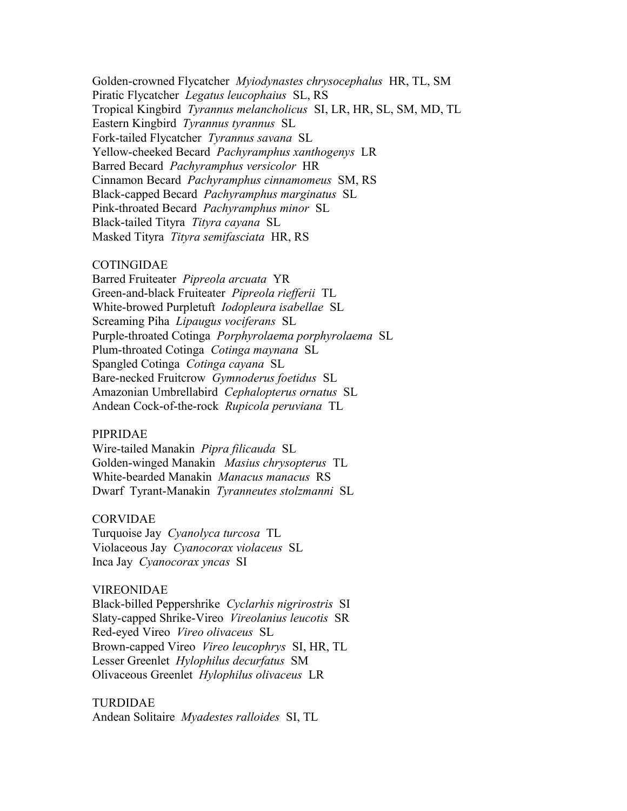Golden-crowned Flycatcher *Myiodynastes chrysocephalus* HR, TL, SM Piratic Flycatcher *Legatus leucophaius* SL, RS Tropical Kingbird *Tyrannus melancholicus* SI, LR, HR, SL, SM, MD, TL Eastern Kingbird *Tyrannus tyrannus* SL Fork-tailed Flycatcher *Tyrannus savana* SL Yellow-cheeked Becard *Pachyramphus xanthogenys* LR Barred Becard *Pachyramphus versicolor* HR Cinnamon Becard *Pachyramphus cinnamomeus* SM, RS Black-capped Becard *Pachyramphus marginatus* SL Pink-throated Becard *Pachyramphus minor* SL Black-tailed Tityra *Tityra cayana* SL Masked Tityra *Tityra semifasciata* HR, RS

## COTINGIDAE

Barred Fruiteater *Pipreola arcuata* YR Green-and-black Fruiteater *Pipreola riefferii* TL White-browed Purpletuft *Iodopleura isabellae* SL Screaming Piha *Lipaugus vociferans* SL Purple-throated Cotinga *Porphyrolaema porphyrolaema* SL Plum-throated Cotinga *Cotinga maynana* SL Spangled Cotinga *Cotinga cayana* SL Bare-necked Fruitcrow *Gymnoderus foetidus* SL Amazonian Umbrellabird *Cephalopterus ornatus* SL Andean Cock-of-the-rock *Rupicola peruviana* TL

## PIPRIDAE

Wire-tailed Manakin *Pipra filicauda* SL Golden-winged Manakin *Masius chrysopterus* TL White-bearded Manakin *Manacus manacus* RS Dwarf Tyrant-Manakin *Tyranneutes stolzmanni* SL

## CORVIDAE

Turquoise Jay *Cyanolyca turcosa* TL Violaceous Jay *Cyanocorax violaceus* SL Inca Jay *Cyanocorax yncas* SI

#### VIREONIDAE

Black-billed Peppershrike *Cyclarhis nigrirostris* SI Slaty-capped Shrike-Vireo *Vireolanius leucotis* SR Red-eyed Vireo *Vireo olivaceus* SL Brown-capped Vireo *Vireo leucophrys* SI, HR, TL Lesser Greenlet *Hylophilus decurfatus* SM Olivaceous Greenlet *Hylophilus olivaceus* LR

# TURDIDAE

Andean Solitaire *Myadestes ralloides* SI, TL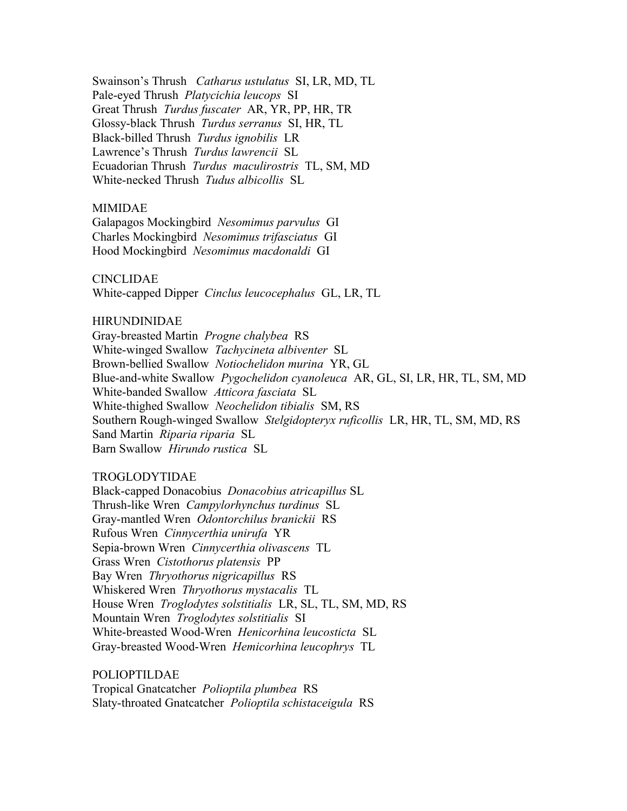Swainson's Thrush *Catharus ustulatus* SI, LR, MD, TL Pale-eyed Thrush *Platycichia leucops* SI Great Thrush *Turdus fuscater* AR, YR, PP, HR, TR Glossy-black Thrush *Turdus serranus* SI, HR, TL Black-billed Thrush *Turdus ignobilis* LR Lawrence's Thrush *Turdus lawrencii* SL Ecuadorian Thrush *Turdus maculirostris* TL, SM, MD White-necked Thrush *Tudus albicollis* SL

#### MIMIDAE

Galapagos Mockingbird *Nesomimus parvulus* GI Charles Mockingbird *Nesomimus trifasciatus* GI Hood Mockingbird *Nesomimus macdonaldi* GI

#### CINCLIDAE

White-capped Dipper *Cinclus leucocephalus* GL, LR, TL

#### HIRUNDINIDAE

Gray-breasted Martin *Progne chalybea* RS White-winged Swallow *Tachycineta albiventer* SL Brown-bellied Swallow *Notiochelidon murina* YR, GL Blue-and-white Swallow *Pygochelidon cyanoleuca* AR, GL, SI, LR, HR, TL, SM, MD White-banded Swallow *Atticora fasciata* SL White-thighed Swallow *Neochelidon tibialis* SM, RS Southern Rough-winged Swallow *Stelgidopteryx ruficollis* LR, HR, TL, SM, MD, RS Sand Martin *Riparia riparia* SL Barn Swallow *Hirundo rustica* SL

## TROGLODYTIDAE

Black-capped Donacobius *Donacobius atricapillus* SL Thrush-like Wren *Campylorhynchus turdinus* SL Gray-mantled Wren *Odontorchilus branickii* RS Rufous Wren *Cinnycerthia unirufa* YR Sepia-brown Wren *Cinnycerthia olivascens* TL Grass Wren *Cistothorus platensis* PP Bay Wren *Thryothorus nigricapillus* RS Whiskered Wren *Thryothorus mystacalis* TL House Wren *Troglodytes solstitialis* LR, SL, TL, SM, MD, RS Mountain Wren *Troglodytes solstitialis* SI White-breasted Wood-Wren *Henicorhina leucosticta* SL Gray-breasted Wood-Wren *Hemicorhina leucophrys* TL

POLIOPTILDAE Tropical Gnatcatcher *Polioptila plumbea* RS Slaty-throated Gnatcatcher *Polioptila schistaceigula* RS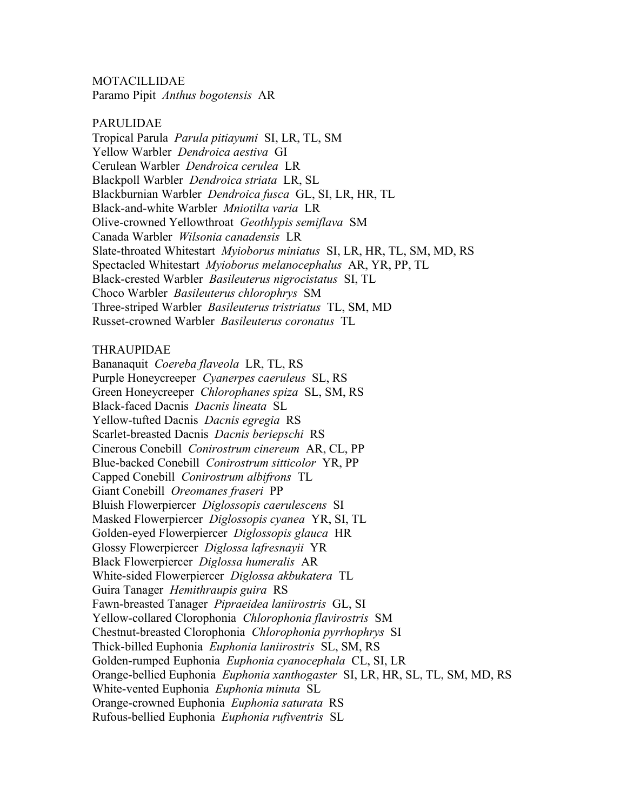MOTACILLIDAE Paramo Pipit *Anthus bogotensis* AR

### PARULIDAE

Tropical Parula *Parula pitiayumi* SI, LR, TL, SM Yellow Warbler *Dendroica aestiva* GI Cerulean Warbler *Dendroica cerulea* LR Blackpoll Warbler *Dendroica striata* LR, SL Blackburnian Warbler *Dendroica fusca* GL, SI, LR, HR, TL Black-and-white Warbler *Mniotilta varia* LR Olive-crowned Yellowthroat *Geothlypis semiflava* SM Canada Warbler *Wilsonia canadensis* LR Slate-throated Whitestart *Myioborus miniatus* SI, LR, HR, TL, SM, MD, RS Spectacled Whitestart *Myioborus melanocephalus* AR, YR, PP, TL Black-crested Warbler *Basileuterus nigrocistatus* SI, TL Choco Warbler *Basileuterus chlorophrys* SM Three-striped Warbler *Basileuterus tristriatus* TL, SM, MD Russet-crowned Warbler *Basileuterus coronatus* TL

## THRAUPIDAE

Bananaquit *Coereba flaveola* LR, TL, RS Purple Honeycreeper *Cyanerpes caeruleus* SL, RS Green Honeycreeper *Chlorophanes spiza* SL, SM, RS Black-faced Dacnis *Dacnis lineata* SL Yellow-tufted Dacnis *Dacnis egregia* RS Scarlet-breasted Dacnis *Dacnis beriepschi* RS Cinerous Conebill *Conirostrum cinereum* AR, CL, PP Blue-backed Conebill *Conirostrum sitticolor* YR, PP Capped Conebill *Conirostrum albifrons* TL Giant Conebill *Oreomanes fraseri* PP Bluish Flowerpiercer *Diglossopis caerulescens* SI Masked Flowerpiercer *Diglossopis cyanea* YR, SI, TL Golden-eyed Flowerpiercer *Diglossopis glauca* HR Glossy Flowerpiercer *Diglossa lafresnayii* YR Black Flowerpiercer *Diglossa humeralis* AR White-sided Flowerpiercer *Diglossa akbukatera* TL Guira Tanager *Hemithraupis guira* RS Fawn-breasted Tanager *Pipraeidea laniirostris* GL, SI Yellow-collared Clorophonia *Chlorophonia flavirostris* SM Chestnut-breasted Clorophonia *Chlorophonia pyrrhophrys* SI Thick-billed Euphonia *Euphonia laniirostris* SL, SM, RS Golden-rumped Euphonia *Euphonia cyanocephala* CL, SI, LR Orange-bellied Euphonia *Euphonia xanthogaster* SI, LR, HR, SL, TL, SM, MD, RS White-vented Euphonia *Euphonia minuta* SL Orange-crowned Euphonia *Euphonia saturata* RS Rufous-bellied Euphonia *Euphonia rufiventris* SL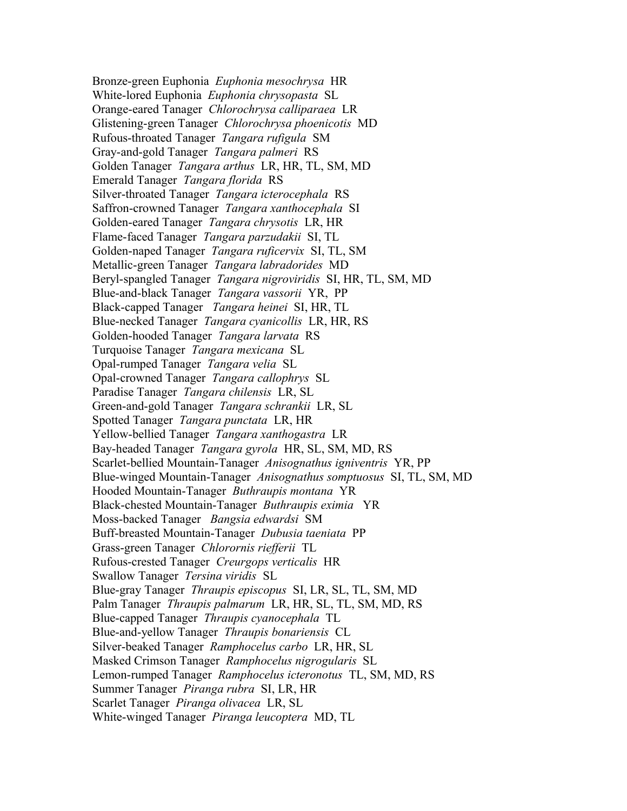Bronze-green Euphonia *Euphonia mesochrysa* HR White-lored Euphonia *Euphonia chrysopasta* SL Orange-eared Tanager *Chlorochrysa calliparaea* LR Glistening-green Tanager *Chlorochrysa phoenicotis* MD Rufous-throated Tanager *Tangara rufigula* SM Gray-and-gold Tanager *Tangara palmeri* RS Golden Tanager *Tangara arthus* LR, HR, TL, SM, MD Emerald Tanager *Tangara florida* RS Silver-throated Tanager *Tangara icterocephala* RS Saffron-crowned Tanager *Tangara xanthocephala* SI Golden-eared Tanager *Tangara chrysotis* LR, HR Flame-faced Tanager *Tangara parzudakii* SI, TL Golden-naped Tanager *Tangara ruficervix* SI, TL, SM Metallic-green Tanager *Tangara labradorides* MD Beryl-spangled Tanager *Tangara nigroviridis* SI, HR, TL, SM, MD Blue-and-black Tanager *Tangara vassorii* YR, PP Black-capped Tanager *Tangara heinei* SI, HR, TL Blue-necked Tanager *Tangara cyanicollis* LR, HR, RS Golden-hooded Tanager *Tangara larvata* RS Turquoise Tanager *Tangara mexicana* SL Opal-rumped Tanager *Tangara velia* SL Opal-crowned Tanager *Tangara callophrys* SL Paradise Tanager *Tangara chilensis* LR, SL Green-and-gold Tanager *Tangara schrankii* LR, SL Spotted Tanager *Tangara punctata* LR, HR Yellow-bellied Tanager *Tangara xanthogastra* LR Bay-headed Tanager *Tangara gyrola* HR, SL, SM, MD, RS Scarlet-bellied Mountain-Tanager *Anisognathus igniventris* YR, PP Blue-winged Mountain-Tanager *Anisognathus somptuosus* SI, TL, SM, MD Hooded Mountain-Tanager *Buthraupis montana* YR Black-chested Mountain-Tanager *Buthraupis eximia* YR Moss-backed Tanager *Bangsia edwardsi* SM Buff-breasted Mountain-Tanager *Dubusia taeniata* PP Grass-green Tanager *Chlorornis riefferii* TL Rufous-crested Tanager *Creurgops verticalis* HR Swallow Tanager *Tersina viridis* SL Blue-gray Tanager *Thraupis episcopus* SI, LR, SL, TL, SM, MD Palm Tanager *Thraupis palmarum* LR, HR, SL, TL, SM, MD, RS Blue-capped Tanager *Thraupis cyanocephala* TL Blue-and-yellow Tanager *Thraupis bonariensis* CL Silver-beaked Tanager *Ramphocelus carbo* LR, HR, SL Masked Crimson Tanager *Ramphocelus nigrogularis* SL Lemon-rumped Tanager *Ramphocelus icteronotus* TL, SM, MD, RS Summer Tanager *Piranga rubra* SI, LR, HR Scarlet Tanager *Piranga olivacea* LR, SL White-winged Tanager *Piranga leucoptera* MD, TL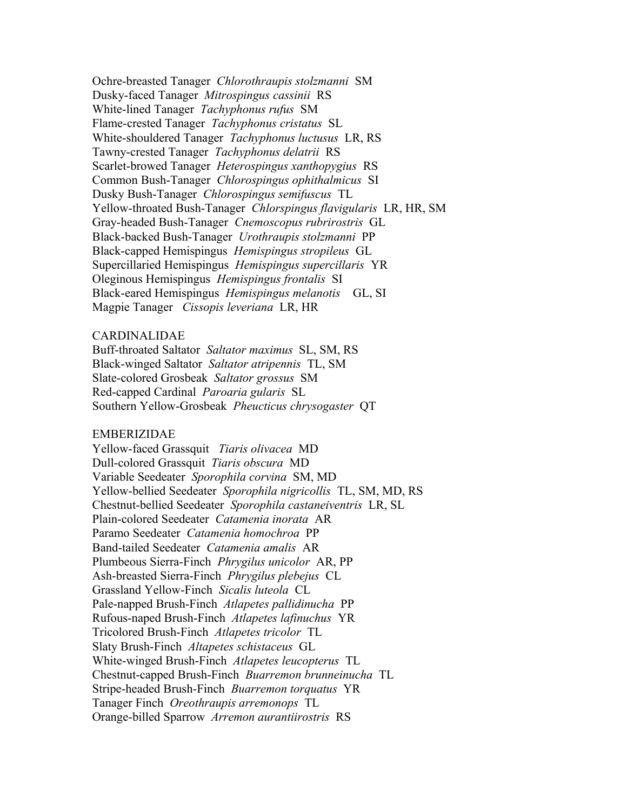Ochre-breasted Tanager *Chlorothraupis stolzmanni* SM Dusky-faced Tanager *Mitrospingus cassinii* RS White-lined Tanager *Tachyphonus rufus* SM Flame-crested Tanager *Tachyphonus cristatus* SL White-shouldered Tanager *Tachyphonus luctusus* LR, RS Tawny-crested Tanager *Tachyphonus delatrii* RS Scarlet-browed Tanager *Heterospingus xanthopygius* RS Common Bush-Tanager *Chlorospingus ophithalmicus* SI Dusky Bush-Tanager *Chlorospingus semifuscus* TL Yellow-throated Bush-Tanager *Chlorspingus flavigularis* LR, HR, SM Gray-headed Bush-Tanager *Cnemoscopus rubrirostris* GL Black-backed Bush-Tanager *Urothraupis stolzmanni* PP Black-capped Hemispingus *Hemispingus stropileus* GL Supercillaried Hemispingus *Hemispingus supercillaris* YR Oleginous Hemispingus *Hemispingus frontalis* SI Black-eared Hemispingus *Hemispingus melanotis* GL, SI Magpie Tanager *Cissopis leveriana* LR, HR

## CARDINALIDAE

Buff-throated Saltator *Saltator maximus* SL, SM, RS Black-winged Saltator *Saltator atripennis* TL, SM Slate-colored Grosbeak *Saltator grossus* SM Red-capped Cardinal *Paroaria gularis* SL Southern Yellow-Grosbeak *Pheucticus chrysogaster* QT

## EMBERIZIDAE

Yellow-faced Grassquit *Tiaris olivacea* MD Dull-colored Grassquit *Tiaris obscura* MD Variable Seedeater *Sporophila corvina* SM, MD Yellow-bellied Seedeater *Sporophila nigricollis* TL, SM, MD, RS Chestnut-bellied Seedeater *Sporophila castaneiventris* LR, SL Plain-colored Seedeater *Catamenia inorata* AR Paramo Seedeater *Catamenia homochroa* PP Band-tailed Seedeater *Catamenia amalis* AR Plumbeous Sierra-Finch *Phrygilus unicolor* AR, PP Ash-breasted Sierra-Finch *Phrygilus plebejus* CL Grassland Yellow-Finch *Sicalis luteola* CL Pale-napped Brush-Finch *Atlapetes pallidinucha* PP Rufous-naped Brush-Finch *Atlapetes lafinuchus* YR Tricolored Brush-Finch *Atlapetes tricolor* TL Slaty Brush-Finch *Altapetes schistaceus* GL White-winged Brush-Finch *Atlapetes leucopterus* TL Chestnut-capped Brush-Finch *Buarremon brunneinucha* TL Stripe-headed Brush-Finch *Buarremon torquatus* YR Tanager Finch *Oreothraupis arremonops* TL Orange-billed Sparrow *Arremon aurantiirostris* RS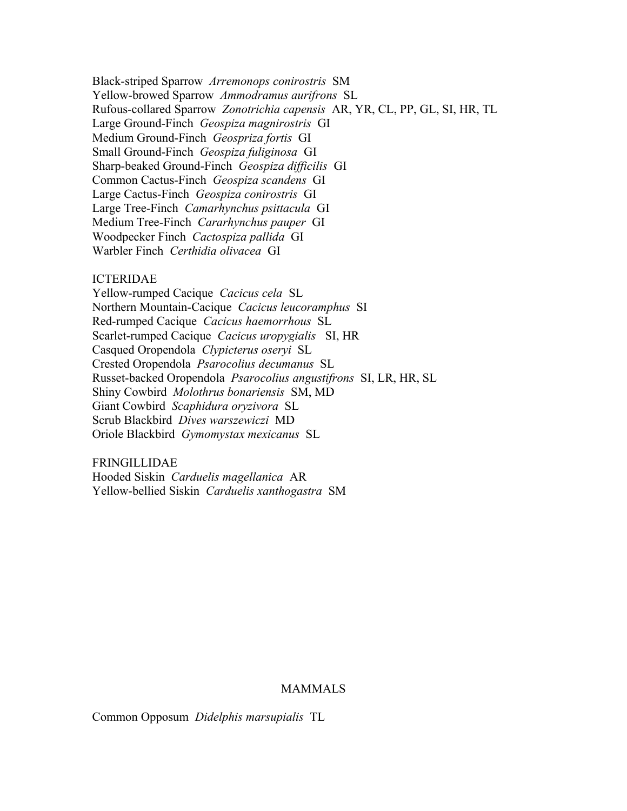Black-striped Sparrow *Arremonops conirostris* SM Yellow-browed Sparrow *Ammodramus aurifrons* SL Rufous-collared Sparrow *Zonotrichia capensis* AR, YR, CL, PP, GL, SI, HR, TL Large Ground-Finch *Geospiza magnirostris* GI Medium Ground-Finch *Geospriza fortis* GI Small Ground-Finch *Geospiza fuliginosa* GI Sharp-beaked Ground-Finch *Geospiza difficilis* GI Common Cactus-Finch *Geospiza scandens* GI Large Cactus-Finch *Geospiza conirostris* GI Large Tree-Finch *Camarhynchus psittacula* GI Medium Tree-Finch *Cararhynchus pauper* GI Woodpecker Finch *Cactospiza pallida* GI Warbler Finch *Certhidia olivacea* GI

#### ICTERIDAE

Yellow-rumped Cacique *Cacicus cela* SL Northern Mountain-Cacique *Cacicus leucoramphus* SI Red-rumped Cacique *Cacicus haemorrhous* SL Scarlet-rumped Cacique *Cacicus uropygialis* SI, HR Casqued Oropendola *Clypicterus oseryi* SL Crested Oropendola *Psarocolius decumanus* SL Russet-backed Oropendola *Psarocolius angustifrons* SI, LR, HR, SL Shiny Cowbird *Molothrus bonariensis* SM, MD Giant Cowbird *Scaphidura oryzivora* SL Scrub Blackbird *Dives warszewiczi* MD Oriole Blackbird *Gymomystax mexicanus* SL

FRINGILLIDAE Hooded Siskin *Carduelis magellanica* AR Yellow-bellied Siskin *Carduelis xanthogastra* SM

## MAMMALS

Common Opposum *Didelphis marsupialis* TL